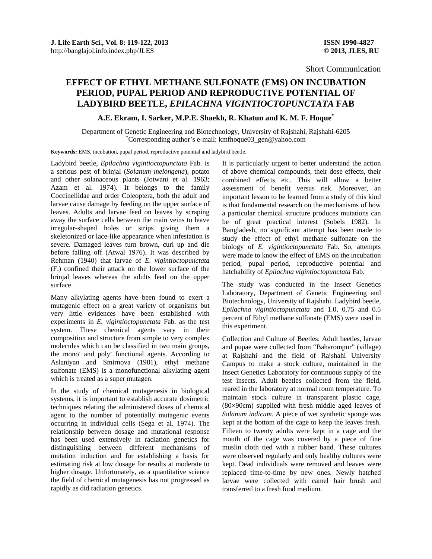Short Communication

## **EFFECT OF ETHYL METHANE SULFONATE (EMS) ON INCUBATION PERIOD, PUPAL PERIOD AND REPRODUCTIVE POTENTIAL OF LADYBIRD BEETLE,** *EPILACHNA VIGINTIOCTOPUNCTATA* **FAB**

**A.E. Ekram, I. Sarker, M.P.E. Shaekh, R. Khatun and K. M. F. Hoque\***

Department of Genetic Engineering and Biotechnology, University of Rajshahi, Rajshahi-6205 \* Corresponding author's e-mail: kmfhoque03\_gen@yahoo.com

**Keywords:** EMS, incubation, pupal period, reproductive potential and ladybird beetle.

Ladybird beetle, *Epilachna vigintioctopunctata* Fab. is a serious pest of brinjal (*Solanum melongena*), potato and other solanaceous plants (Jotwani et al. 1963; Azam et al. 1974). It belongs to the family Coccinellidae and order Coleoptera, both the adult and larvae cause damage by feeding on the upper surface of leaves. Adults and larvae feed on leaves by scraping away the surface cells between the main veins to leave irregular-shaped holes or strips giving them a skeletonized or lace-like appearance when infestation is severe. Damaged leaves turn brown, curl up and die before falling off (Atwal 1976). It was described by Rehman (1940) that larvae of *E. vigintioctopunctata* (F.) confined their attack on the lower surface of the brinjal leaves whereas the adults feed on the upper surface.

Many alkylating agents have been found to exert a mutagenic effect on a great variety of organisms but very little evidences have been established with experiments in *E. vigintioctopunctata* Fab. as the test system. These chemical agents vary in their composition and structure from simple to very complex molecules which can be classified in two main groups, the mono<sup>-</sup> and poly<sup>-</sup> functional agents. According to Aslaniyan and Smirnova (1981), ethyl methane sulfonate (EMS) is a monofunctional alkylating agent which is treated as a super mutagen.

In the study of chemical mutagenesis in biological systems, it is important to establish accurate dosimetric techniques relating the administered doses of chemical agent to the number of potentially mutagenic events occurring in individual cells (Sega et al. 1974). The relationship between dosage and mutational response has been used extensively in radiation genetics for distinguishing between different mechanisms of mutation induction and for establishing a basis for estimating risk at low dosage for results at moderate to higher dosage. Unfortunately, as a quantitative science the field of chemical mutagenesis has not progressed as rapidly as did radiation genetics.

It is particularly urgent to better understand the action of above chemical compounds, their dose effects, their combined effects etc. This will allow a better assessment of benefit versus risk. Moreover, an important lesson to be learned from a study of this kind is that fundamental research on the mechanisms of how a particular chemical structure produces mutations can be of great practical interest (Sobels 1982). In Bangladesh, no significant attempt has been made to study the effect of ethyl methane sulfonate on the biology of *E. vigintioctopunctata* Fab. So, attempts were made to know the effect of EMS on the incubation period, pupal period, reproductive potential and hatchability of *Epilachna vigintioctopunctata* Fab.

The study was conducted in the Insect Genetics Laboratory, Department of Genetic Engineering and Biotechnology, University of Rajshahi. Ladybird beetle, *Epilachna vigintioctopunctata* and 1.0, 0.75 and 0.5 percent of Ethyl methane sulfonate (EMS) were used in this experiment.

Collection and Culture of Beetles: Adult beetles, larvae and pupae were collected from "Baharompur" (village) at Rajshahi and the field of Rajshahi University Campus to make a stock culture, maintained in the Insect Genetics Laboratory for continuous supply of the test insects. Adult beetles collected from the field, reared in the laboratory at normal room temperature. To maintain stock culture in transparent plastic cage, (80×90cm) supplied with fresh middle aged leaves of *Solanum indicum*. A piece of wet synthetic sponge was kept at the bottom of the cage to keep the leaves fresh. Fifteen to twenty adults were kept in a cage and the mouth of the cage was covered by a piece of fine muslin cloth tied with a rubber band. These cultures were observed regularly and only healthy cultures were kept. Dead individuals were removed and leaves were replaced time-to-time by new ones. Newly hatched larvae were collected with camel hair brush and transferred to a fresh food medium.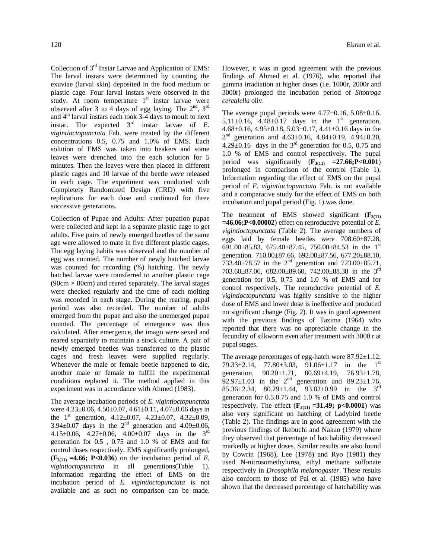Collection of 3rd Instar Larvae and Application of EMS: The larval instars were determined by counting the exuviae (larval skin) deposited in the food medium or plastic cage. Four larval instars were observed in the study. At room temperature  $1<sup>st</sup>$  instar larvae were observed after 3 to 4 days of egg laying. The  $2<sup>nd</sup>$ ,  $3<sup>rd</sup>$ and 4<sup>th</sup> larval instars each took 3-4 days to moult to next instar. The expected  $3<sup>rd</sup>$  instar larvae of *E*. *vigintioctopunctata* Fab. were treated by the different concentrations 0.5, 0.75 and 1.0% of EMS. Each solution of EMS was taken into beakers and some leaves were drenched into the each solution for 5 minutes. Then the leaves were then placed in different plastic cages and 10 larvae of the beetle *were* released in each cage. The experiment was conducted with Completely Randomized Design (CRD) with five replications for each dose and continued for three successive generations.

Collection of Pupae and Adults: After pupation pupae were collected and kept in a separate plastic cage to get adults. Five pairs of newly emerged beetles of the same age were allowed to mate in five different plastic cages. The egg laying habits was observed and the number of egg was counted. The number of newly hatched larvae was counted for recording (%) hatching. The newly hatched larvae were transferred to another plastic cage  $(90cm \times 80cm)$  and reared separately. The larval stages were checked regularly and the time of each molting was recorded in each stage. During the rearing, pupal period was also recorded. The number of adults emerged from the pupae and also the unemerged pupae counted. The percentage of emergence was thus calculated. After emergence, the imago were sexed and reared separately to maintain a stock culture. A pair of newly emerged beetles was transferred to the plastic cages and fresh leaves were supplied regularly. Whenever the male or female beetle happened to die, another male or female to fulfill the experimental conditions replaced it. The method applied in this experiment was in accordance with Ahmed (1983).

The average incubation periods of *E. vigintioctopunctata* were  $4.23\pm0.06$ ,  $4.50\pm0.07$ ,  $4.61\pm0.11$ ,  $4.07\pm0.06$  days in the  $1<sup>st</sup>$  generation,  $4.12 \pm 0.07$ ,  $4.23 \pm 0.07$ ,  $4.32 \pm 0.09$ , 3.94 $\pm$ 0.07 days in the 2<sup>nd</sup> generation and 4.09 $\pm$ 0.06, 4.15 $\pm$ 0.06, 4.27 $\pm$ 0.06, 4.00 $\pm$ 0.07 days in the 3<sup>rd</sup> generation for 0.5 , 0.75 and 1.0 % of EMS and for control doses respectively. EMS significantly prolonged,  $(F_{3(11)} = 4.66; P < 0.036)$  on the incubation period of *E*. *vigintioctopunctata* in all generations(Table 1). Information regarding the effect of EMS on the incubation period of *E. vigintioctopunctata* is not available and as such no comparison can be made.

However, it was in good agreement with the previous findings of Ahmed et al. (1976), who reported that gamma irradiation at higher doses (i.e. 1000r, 2000r and 3000r) prolonged the incubation period of *Sitotroga cerealella* oliv.

The average pupal periods were 4.77±0.16, 5.08±0.16, 5.11 $\pm$ 0.16, 4.48 $\pm$ 0.17 days in the 1<sup>st</sup> generation, 4.68±0.16, 4.95±0.18, 5.03±0.17, 4.41±0.16 days in the  $2<sup>nd</sup>$  generation and  $4.63\pm0.16$ ,  $4.84\pm0.19$ ,  $4.94\pm0.20$ , 4.29 $\pm$ 0.16 days in the 3<sup>rd</sup> generation for 0.5, 0.75 and 1.0 % of EMS and control respectively. The pupal period was significantly  $(\mathbf{F}_{3(11)} = 27.66; \mathbf{P} < 0.001)$ prolonged in comparison of the control (Table 1). Information regarding the effect of EMS on the pupal period of *E. vigintioctopunctata* Fab. is not available and a comparative study for the effect of EMS on both incubation and pupal period (Fig. 1).was done.

The treatment of EMS showed significant  $(F_{3(1)})$ **=46.06;P<0.00002**) effect on reproductive potential of *E. vigintioctopunctata* (Table 2)*.* The average numbers of eggs laid by female beetles were 708.60±87.28, 691.00 $\pm$ 85.83, 675.40 $\pm$ 87.45, 750.00 $\pm$ 84.53 in the 1<sup>st</sup> generation. 710.00±87.66, 692.00±87.56, 677.20±88.10, 733.40 $\pm$ 78.57 in the 2<sup>nd</sup> generation and 723.00 $\pm$ 85.71, 703.60±87.06, 682.00±89.60, 742.00±88.38 in the 3rd generation for 0.5, 0.75 and 1.0 % of EMS and for control respectively. The reproductive potential of *E. vigintioctopunctata* was highly sensitive to the higher dose of EMS and lower dose is ineffective and produced no significant change (Fig. 2). It was in good agreement with the previous findings of Tazima (1964) who reported that there was no appreciable change in the fecundity of silkworm even after treatment with 3000 r at pupal stages.

The average percentages of egg-hatch were 87.92±1.12, 79.33 $\pm$ 2.14, 77.80 $\pm$ 3.03, 91.06 $\pm$ 1.17 in the 1<sup>st</sup> generation, 90.20±1.71, 80.69±4.19, 76.93±1.78, 92.97 $\pm$ 1.03 in the 2<sup>nd</sup> generation and 89.23 $\pm$ 1.76, 85.36 $\pm$ 2.34, 80.29 $\pm$ 1.44, 93.82 $\pm$ 0.99 in the 3<sup>rd</sup> generation for 0.5.0.75 and 1.0 % of EMS and control respectively. The effect  $(F_{3(11)} = 31.49; \text{ p} < 0.0001)$  was also very significant on hatching of Ladybird beetle (Table 2). The findings are in good agreement with the previous findings of Ikebuchi and Nakao (1979) where they observed that percentage of hatchability decreased markedly at higher doses. Similar results are also found by Cowrin (1968), Lee (1978) and Ryo (1981) they used N-nitrosomethylurea, ethyl methane sulfonate respectively in *Drosophila melanogaster.* These results also conform to those of Pai et al. (1985) who have shown that the decreased percentage of hatchability was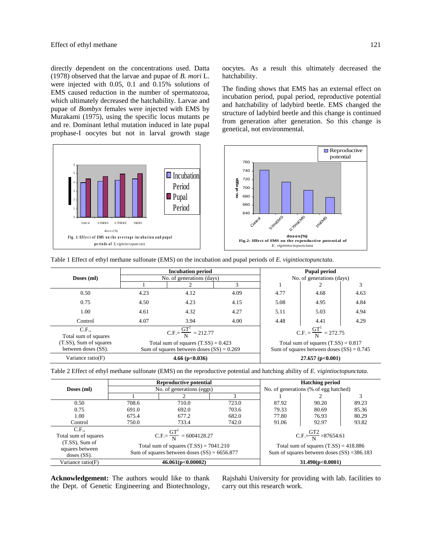directly dependent on the concentrations used. Datta (1978) observed that the larvae and pupae of *B. mori* L. were injected with 0.05, 0.1 and 0.15% solutions of EMS caused reduction in the number of spermatozoa, which ultimately decreased the hatchability. Larvae and pupae of *Bombyx* females were injected with EMS by Murakami (1975), using the specific locus mutants pe and re. Dominant lethal mutation induced in late pupal prophase-I oocytes but not in larval growth stage

Fig. 1: Effect of EMS on the averrage incubation and pupal **pe riods of** *E. v igint ioc t opunc t at a* 0 4 6 0.5%EM S 0.75%EM S 1%EM S **d o s e s ( %)**  $\Box$  Incubation Period ■ Pupal Period

oocytes. As a result this ultimately decreased the hatchability.

The finding shows that EMS has an external effect on incubation period, pupal period, reproductive potential and hatchability of ladybird beetle. EMS changed the structure of ladybird beetle and this change is continued from generation after generation. So this change is genetical, not environmental.



|  |  |  | Table 1 Effect of ethyl methane sulfonate (EMS) on the incubation and pupal periods of E. vigintioctopunctata. |
|--|--|--|----------------------------------------------------------------------------------------------------------------|
|  |  |  |                                                                                                                |

|                                               |                                                                                      | <b>Incubation period</b>  | <b>Pupal period</b>       |                                                                                      |      |      |  |
|-----------------------------------------------|--------------------------------------------------------------------------------------|---------------------------|---------------------------|--------------------------------------------------------------------------------------|------|------|--|
| Doses (ml)                                    |                                                                                      | No. of generations (days) | No. of generations (days) |                                                                                      |      |      |  |
|                                               |                                                                                      | 2                         |                           |                                                                                      |      |      |  |
| 0.50                                          | 4.23                                                                                 | 4.12                      | 4.09                      | 4.77                                                                                 | 4.68 | 4.63 |  |
| 0.75                                          | 4.50                                                                                 | 4.23                      | 4.15                      | 5.08                                                                                 | 4.95 | 4.84 |  |
| 1.00                                          | 4.61                                                                                 | 4.32                      | 4.27                      | 5.11                                                                                 | 5.03 | 4.94 |  |
| Control                                       | 4.07                                                                                 | 3.94                      | 4.00                      | 4.48                                                                                 | 4.41 | 4.29 |  |
| C.F.<br>Total sum of squares                  | $C.F. = \frac{GT^2}{N} = 212.77$                                                     |                           |                           | $C.F. = \frac{GT^2}{N} = 272.75$                                                     |      |      |  |
| (T.SS), Sum of squares<br>between doses (SS). | Total sum of squares $(T.SS) = 0.423$<br>Sum of squares between doses $(SS) = 0.269$ |                           |                           | Total sum of squares $(T.SS) = 0.817$<br>Sum of squares between doses $(SS) = 0.745$ |      |      |  |
| Variance ratio(F)<br>4.66 ( $p<0.036$ )       |                                                                                      |                           | $27.657$ (p<0.001)        |                                                                                      |      |      |  |

Table 2 Effect of ethyl methane sulfonate (EMS) on the reproductive potential and hatching ability of *E. vigintioctopunctata*.

|                                                       | <b>Reproductive potential</b>                                                              |                                       |                  |                                                                                          | <b>Hatching period</b> |       |  |  |
|-------------------------------------------------------|--------------------------------------------------------------------------------------------|---------------------------------------|------------------|------------------------------------------------------------------------------------------|------------------------|-------|--|--|
| Doses (ml)                                            | No. of generations (eggs)                                                                  | No. of generations (% of egg hatched) |                  |                                                                                          |                        |       |  |  |
|                                                       |                                                                                            |                                       |                  |                                                                                          |                        |       |  |  |
| 0.50                                                  | 708.6                                                                                      | 710.0                                 | 723.0            | 87.92                                                                                    | 90.20                  | 89.23 |  |  |
| 0.75                                                  | 691.0                                                                                      | 692.0                                 | 703.6            | 79.33                                                                                    | 80.69                  | 85.36 |  |  |
| 1.00                                                  | 675.4                                                                                      | 677.2                                 | 682.0            | 77.80                                                                                    | 76.93                  | 80.29 |  |  |
| Control                                               | 750.0                                                                                      | 733.4                                 | 742.0            | 91.06                                                                                    | 92.97                  | 93.82 |  |  |
| C.F.<br>Total sum of squares                          | $C.F. = \frac{GT^2}{N} = 6004128.27$                                                       |                                       |                  | $C.F. = \frac{GT2}{N} = 87654.61$                                                        |                        |       |  |  |
| $(T.SS)$ , Sum of<br>squares between<br>$doses(SS)$ . | Total sum of squares $(T.SS) = 7041.210$<br>Sum of squares between doses $(SS) = 6656.877$ |                                       |                  | Total sum of squares $(T.SS) = 418.886$<br>Sum of squares between doses $(SS) = 386.183$ |                        |       |  |  |
| Variance $ratio(F)$<br>46.061(p<0.00002)              |                                                                                            |                                       | 31.490(p<0.0001) |                                                                                          |                        |       |  |  |

**Acknowledgement:** The authors would like to thank the Dept. of Genetic Engineering and Biotechnology,

Rajshahi University for providing with lab. facilities to carry out this research work.